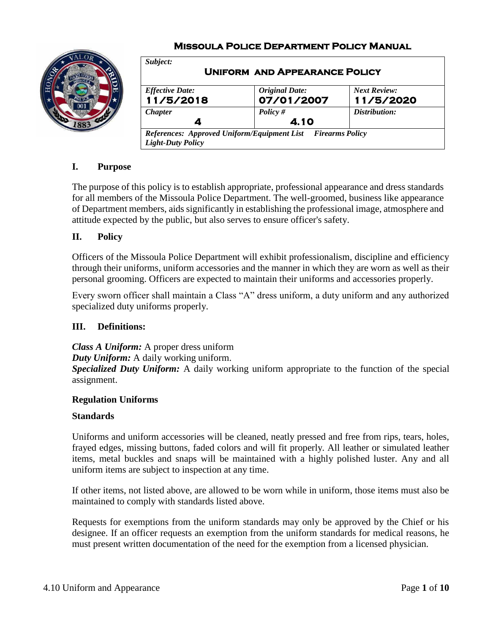# **Missoula Police Department Policy Manual**



| Subject:<br><b>UNIFORM AND APPEARANCE POLICY</b>                                                         |                                     |                                  |  |
|----------------------------------------------------------------------------------------------------------|-------------------------------------|----------------------------------|--|
| <b>Effective Date:</b><br>11/5/2018                                                                      | <b>Original Date:</b><br>07/01/2007 | <b>Next Review:</b><br>11/5/2020 |  |
| <b>Chapter</b><br>4                                                                                      | Policy $#$<br>4.10                  | Distribution:                    |  |
| <b>References: Approved Uniform/Equipment List</b><br><b>Firearms Policy</b><br><b>Light-Duty Policy</b> |                                     |                                  |  |

# **I. Purpose**

The purpose of this policy is to establish appropriate, professional appearance and dress standards for all members of the Missoula Police Department. The well-groomed, business like appearance of Department members, aids significantly in establishing the professional image, atmosphere and attitude expected by the public, but also serves to ensure officer's safety.

# **II. Policy**

Officers of the Missoula Police Department will exhibit professionalism, discipline and efficiency through their uniforms, uniform accessories and the manner in which they are worn as well as their personal grooming. Officers are expected to maintain their uniforms and accessories properly.

Every sworn officer shall maintain a Class "A" dress uniform, a duty uniform and any authorized specialized duty uniforms properly.

### **III. Definitions:**

*Class A Uniform:* A proper dress uniform

*Duty Uniform:* A daily working uniform.

*Specialized Duty Uniform:* A daily working uniform appropriate to the function of the special assignment.

### **Regulation Uniforms**

### **Standards**

Uniforms and uniform accessories will be cleaned, neatly pressed and free from rips, tears, holes, frayed edges, missing buttons, faded colors and will fit properly. All leather or simulated leather items, metal buckles and snaps will be maintained with a highly polished luster. Any and all uniform items are subject to inspection at any time.

If other items, not listed above, are allowed to be worn while in uniform, those items must also be maintained to comply with standards listed above.

Requests for exemptions from the uniform standards may only be approved by the Chief or his designee. If an officer requests an exemption from the uniform standards for medical reasons, he must present written documentation of the need for the exemption from a licensed physician.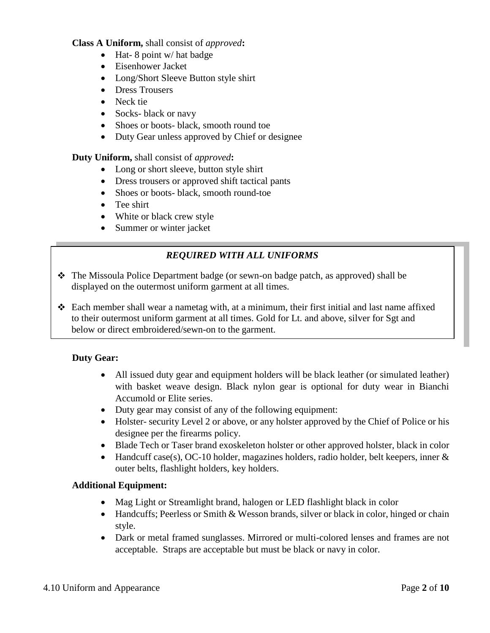### **Class A Uniform,** shall consist of *approved***:**

- $\bullet$  Hat-8 point w/ hat badge
- Eisenhower Jacket
- Long/Short Sleeve Button style shirt
- Dress Trousers
- Neck tie
- Socks- black or navy
- Shoes or boots- black, smooth round toe
- Duty Gear unless approved by Chief or designee

**Duty Uniform,** shall consist of *approved***:**

- Long or short sleeve, button style shirt
- Dress trousers or approved shift tactical pants
- Shoes or boots- black, smooth round-toe
- Tee shirt
- White or black crew style
- Summer or winter jacket

# *REQUIRED WITH ALL UNIFORMS*

- The Missoula Police Department badge (or sewn-on badge patch, as approved) shall be displayed on the outermost uniform garment at all times.
- $\div$  Each member shall wear a nametag with, at a minimum, their first initial and last name affixed to their outermost uniform garment at all times. Gold for Lt. and above, silver for Sgt and below or direct embroidered/sewn-on to the garment.

### **Duty Gear:**

- All issued duty gear and equipment holders will be black leather (or simulated leather) with basket weave design. Black nylon gear is optional for duty wear in Bianchi Accumold or Elite series.
- Duty gear may consist of any of the following equipment:
- Holster- security Level 2 or above, or any holster approved by the Chief of Police or his designee per the firearms policy.
- Blade Tech or Taser brand exoskeleton holster or other approved holster, black in color
- Handcuff case(s), OC-10 holder, magazines holders, radio holder, belt keepers, inner  $\&$ outer belts, flashlight holders, key holders.

### **Additional Equipment:**

- Mag Light or Streamlight brand, halogen or LED flashlight black in color
- Handcuffs; Peerless or Smith & Wesson brands, silver or black in color, hinged or chain style.
- Dark or metal framed sunglasses. Mirrored or multi-colored lenses and frames are not acceptable. Straps are acceptable but must be black or navy in color.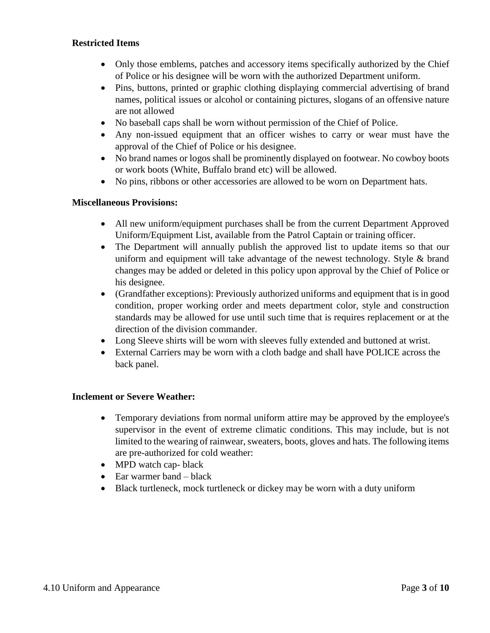### **Restricted Items**

- Only those emblems, patches and accessory items specifically authorized by the Chief of Police or his designee will be worn with the authorized Department uniform.
- Pins, buttons, printed or graphic clothing displaying commercial advertising of brand names, political issues or alcohol or containing pictures, slogans of an offensive nature are not allowed
- No baseball caps shall be worn without permission of the Chief of Police.
- Any non-issued equipment that an officer wishes to carry or wear must have the approval of the Chief of Police or his designee.
- No brand names or logos shall be prominently displayed on footwear. No cowboy boots or work boots (White, Buffalo brand etc) will be allowed.
- No pins, ribbons or other accessories are allowed to be worn on Department hats.

# **Miscellaneous Provisions:**

- All new uniform/equipment purchases shall be from the current Department Approved Uniform/Equipment List, available from the Patrol Captain or training officer.
- The Department will annually publish the approved list to update items so that our uniform and equipment will take advantage of the newest technology. Style & brand changes may be added or deleted in this policy upon approval by the Chief of Police or his designee.
- (Grandfather exceptions): Previously authorized uniforms and equipment that is in good condition, proper working order and meets department color, style and construction standards may be allowed for use until such time that is requires replacement or at the direction of the division commander.
- Long Sleeve shirts will be worn with sleeves fully extended and buttoned at wrist.
- External Carriers may be worn with a cloth badge and shall have POLICE across the back panel.

### **Inclement or Severe Weather:**

- Temporary deviations from normal uniform attire may be approved by the employee's supervisor in the event of extreme climatic conditions. This may include, but is not limited to the wearing of rainwear, sweaters, boots, gloves and hats. The following items are pre-authorized for cold weather:
- MPD watch cap-black
- $\bullet$  Ear warmer band black
- Black turtleneck, mock turtleneck or dickey may be worn with a duty uniform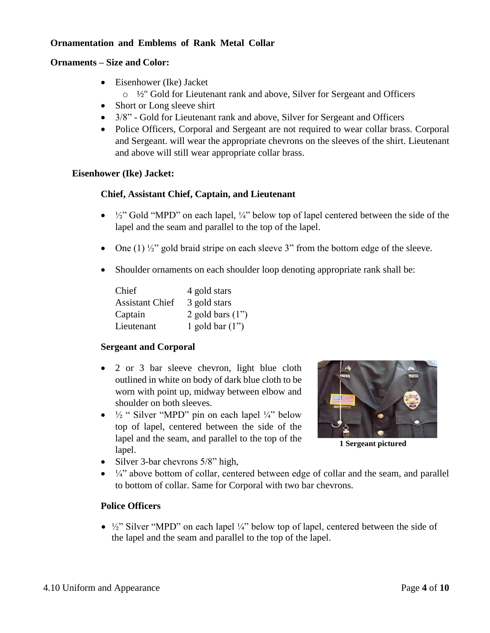# **Ornamentation and Emblems of Rank Metal Collar**

#### **Ornaments – Size and Color:**

- Eisenhower (Ike) Jacket
	- $\circ$  1/<sub>2</sub>" Gold for Lieutenant rank and above, Silver for Sergeant and Officers
- Short or Long sleeve shirt
- $3/8$ " Gold for Lieutenant rank and above, Silver for Sergeant and Officers
- Police Officers, Corporal and Sergeant are not required to wear collar brass. Corporal and Sergeant. will wear the appropriate chevrons on the sleeves of the shirt. Lieutenant and above will still wear appropriate collar brass.

### **Eisenhower (Ike) Jacket:**

### **Chief, Assistant Chief, Captain, and Lieutenant**

- $\bullet$   $\frac{1}{2}$ " Gold "MPD" on each lapel,  $\frac{1}{4}$ " below top of lapel centered between the side of the lapel and the seam and parallel to the top of the lapel.
- One  $(1)$   $\frac{1}{2}$ " gold braid stripe on each sleeve 3" from the bottom edge of the sleeve.
- Shoulder ornaments on each shoulder loop denoting appropriate rank shall be:

| Chief                  | 4 gold stars       |
|------------------------|--------------------|
| <b>Assistant Chief</b> | 3 gold stars       |
| Captain                | 2 gold bars $(1")$ |
| Lieutenant             | 1 gold bar $(1")$  |

### **Sergeant and Corporal**

- 2 or 3 bar sleeve chevron, light blue cloth outlined in white on body of dark blue cloth to be worn with point up, midway between elbow and shoulder on both sleeves.
- $\bullet$   $\frac{1}{2}$  " Silver "MPD" pin on each lapel  $\frac{1}{4}$ " below top of lapel, centered between the side of the lapel and the seam, and parallel to the top of the lapel.



**1 Sergeant pictured**

- Silver 3-bar chevrons  $5/8$ " high,
- $\bullet$   $\frac{1}{4}$  above bottom of collar, centered between edge of collar and the seam, and parallel to bottom of collar. Same for Corporal with two bar chevrons.

### **Police Officers**

 $\bullet$   $\frac{1}{2}$ " Silver "MPD" on each lapel  $\frac{1}{4}$ " below top of lapel, centered between the side of the lapel and the seam and parallel to the top of the lapel.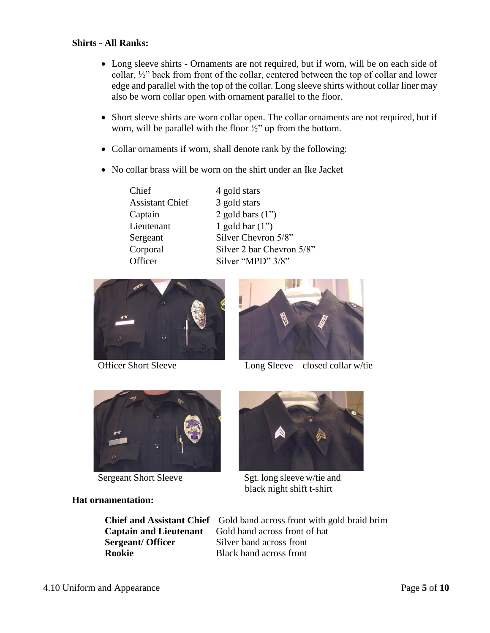### **Shirts - All Ranks:**

- Long sleeve shirts Ornaments are not required, but if worn, will be on each side of collar, ½" back from front of the collar, centered between the top of collar and lower edge and parallel with the top of the collar. Long sleeve shirts without collar liner may also be worn collar open with ornament parallel to the floor.
- Short sleeve shirts are worn collar open. The collar ornaments are not required, but if worn, will be parallel with the floor  $\frac{1}{2}$ " up from the bottom.
- Collar ornaments if worn, shall denote rank by the following:
- No collar brass will be worn on the shirt under an Ike Jacket

Chief 4 gold stars Assistant Chief 3 gold stars

Captain 2 gold bars (1") Lieutenant 1 gold bar (1") Sergeant Silver Chevron 5/8" Corporal Silver 2 bar Chevron 5/8" Officer Silver "MPD" 3/8"





Officer Short Sleeve Long Sleeve – closed collar w/tie



### **Hat ornamentation:**

**Sergeant/ Officer** Silver band across front **Rookie** Black band across front



Sergeant Short Sleeve Sgt. long sleeve w/tie and black night shift t-shirt

**Chief and Assistant Chief** Gold band across front with gold braid brim **Captain and Lieutenant** Gold band across front of hat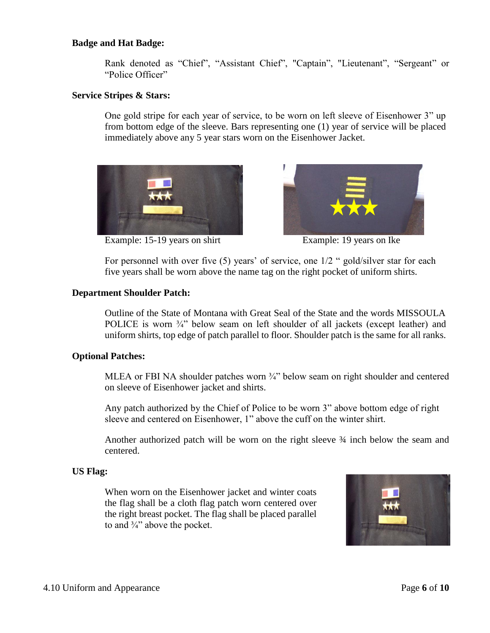#### **Badge and Hat Badge:**

Rank denoted as "Chief", "Assistant Chief", "Captain", "Lieutenant", "Sergeant" or "Police Officer"

#### **Service Stripes & Stars:**

One gold stripe for each year of service, to be worn on left sleeve of Eisenhower 3" up from bottom edge of the sleeve. Bars representing one (1) year of service will be placed immediately above any 5 year stars worn on the Eisenhower Jacket.



Example: 15-19 years on shirt Example: 19 years on Ike



For personnel with over five (5) years' of service, one  $1/2$  " gold/silver star for each five years shall be worn above the name tag on the right pocket of uniform shirts.

#### **Department Shoulder Patch:**

Outline of the State of Montana with Great Seal of the State and the words MISSOULA POLICE is worn  $\frac{3}{4}$ " below seam on left shoulder of all jackets (except leather) and uniform shirts, top edge of patch parallel to floor. Shoulder patch is the same for all ranks.

### **Optional Patches:**

MLEA or FBI NA shoulder patches worn <sup>3</sup>/<sub>4</sub>" below seam on right shoulder and centered on sleeve of Eisenhower jacket and shirts.

Any patch authorized by the Chief of Police to be worn 3" above bottom edge of right sleeve and centered on Eisenhower, 1" above the cuff on the winter shirt.

Another authorized patch will be worn on the right sleeve ¾ inch below the seam and centered.

#### **US Flag:**

When worn on the Eisenhower jacket and winter coats the flag shall be a cloth flag patch worn centered over the right breast pocket. The flag shall be placed parallel to and  $\frac{3}{4}$ " above the pocket.

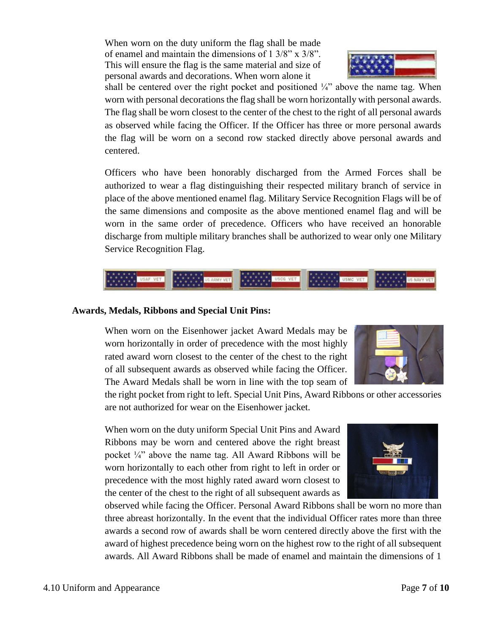When worn on the duty uniform the flag shall be made of enamel and maintain the dimensions of  $1 \frac{3}{8}$ " x  $\frac{3}{8}$ ". This will ensure the flag is the same material and size of personal awards and decorations. When worn alone it



shall be centered over the right pocket and positioned  $\frac{1}{4}$  above the name tag. When worn with personal decorations the flag shall be worn horizontally with personal awards. The flag shall be worn closest to the center of the chest to the right of all personal awards as observed while facing the Officer. If the Officer has three or more personal awards the flag will be worn on a second row stacked directly above personal awards and centered.

Officers who have been honorably discharged from the Armed Forces shall be authorized to wear a flag distinguishing their respected military branch of service in place of the above mentioned enamel flag. Military Service Recognition Flags will be of the same dimensions and composite as the above mentioned enamel flag and will be worn in the same order of precedence. Officers who have received an honorable discharge from multiple military branches shall be authorized to wear only one Military Service Recognition Flag.



#### **Awards, Medals, Ribbons and Special Unit Pins:**

When worn on the Eisenhower jacket Award Medals may be worn horizontally in order of precedence with the most highly rated award worn closest to the center of the chest to the right of all subsequent awards as observed while facing the Officer. The Award Medals shall be worn in line with the top seam of



the right pocket from right to left. Special Unit Pins, Award Ribbons or other accessories are not authorized for wear on the Eisenhower jacket.

When worn on the duty uniform Special Unit Pins and Award Ribbons may be worn and centered above the right breast pocket  $\frac{1}{4}$  above the name tag. All Award Ribbons will be worn horizontally to each other from right to left in order or precedence with the most highly rated award worn closest to the center of the chest to the right of all subsequent awards as



observed while facing the Officer. Personal Award Ribbons shall be worn no more than three abreast horizontally. In the event that the individual Officer rates more than three awards a second row of awards shall be worn centered directly above the first with the award of highest precedence being worn on the highest row to the right of all subsequent awards. All Award Ribbons shall be made of enamel and maintain the dimensions of 1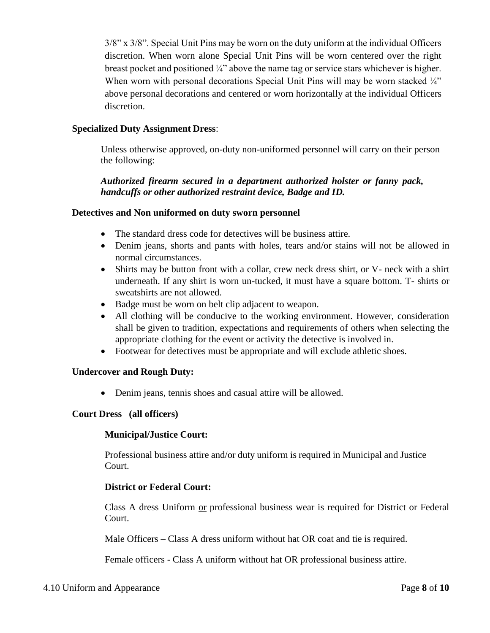3/8" x 3/8". Special Unit Pins may be worn on the duty uniform at the individual Officers discretion. When worn alone Special Unit Pins will be worn centered over the right breast pocket and positioned  $\frac{1}{4}$  above the name tag or service stars whichever is higher. When worn with personal decorations Special Unit Pins will may be worn stacked  $\frac{1}{4}$ " above personal decorations and centered or worn horizontally at the individual Officers discretion.

### **Specialized Duty Assignment Dress**:

Unless otherwise approved, on-duty non-uniformed personnel will carry on their person the following:

*Authorized firearm secured in a department authorized holster or fanny pack, handcuffs or other authorized restraint device, Badge and ID.*

#### **Detectives and Non uniformed on duty sworn personnel**

- The standard dress code for detectives will be business attire.
- Denim jeans, shorts and pants with holes, tears and/or stains will not be allowed in normal circumstances.
- Shirts may be button front with a collar, crew neck dress shirt, or V- neck with a shirt underneath. If any shirt is worn un-tucked, it must have a square bottom. T- shirts or sweatshirts are not allowed.
- Badge must be worn on belt clip adjacent to weapon.
- All clothing will be conducive to the working environment. However, consideration shall be given to tradition, expectations and requirements of others when selecting the appropriate clothing for the event or activity the detective is involved in.
- Footwear for detectives must be appropriate and will exclude athletic shoes.

#### **Undercover and Rough Duty:**

• Denim jeans, tennis shoes and casual attire will be allowed.

#### **Court Dress (all officers)**

#### **Municipal/Justice Court:**

Professional business attire and/or duty uniform is required in Municipal and Justice Court.

#### **District or Federal Court:**

Class A dress Uniform or professional business wear is required for District or Federal Court.

Male Officers – Class A dress uniform without hat OR coat and tie is required.

Female officers - Class A uniform without hat OR professional business attire.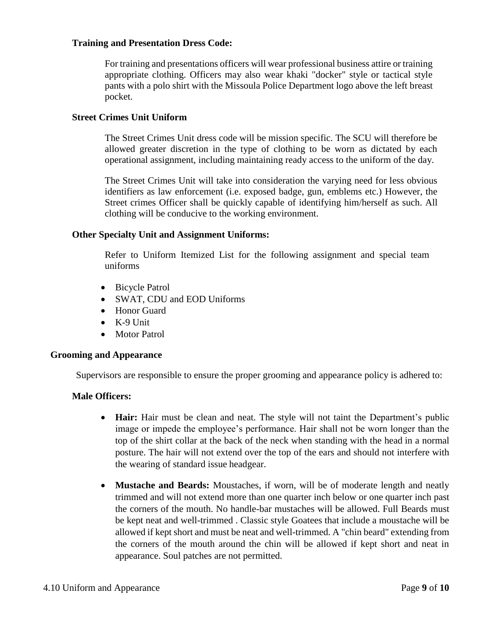#### **Training and Presentation Dress Code:**

For training and presentations officers will wear professional business attire or training appropriate clothing. Officers may also wear khaki "docker" style or tactical style pants with a polo shirt with the Missoula Police Department logo above the left breast pocket.

### **Street Crimes Unit Uniform**

The Street Crimes Unit dress code will be mission specific. The SCU will therefore be allowed greater discretion in the type of clothing to be worn as dictated by each operational assignment, including maintaining ready access to the uniform of the day.

The Street Crimes Unit will take into consideration the varying need for less obvious identifiers as law enforcement (i.e. exposed badge, gun, emblems etc.) However, the Street crimes Officer shall be quickly capable of identifying him/herself as such. All clothing will be conducive to the working environment.

### **Other Specialty Unit and Assignment Uniforms:**

Refer to Uniform Itemized List for the following assignment and special team uniforms

- Bicycle Patrol
- SWAT, CDU and EOD Uniforms
- Honor Guard
- $\bullet$  K-9 Unit
- Motor Patrol

### **Grooming and Appearance**

Supervisors are responsible to ensure the proper grooming and appearance policy is adhered to:

### **Male Officers:**

- **Hair:** Hair must be clean and neat. The style will not taint the Department's public image or impede the employee's performance. Hair shall not be worn longer than the top of the shirt collar at the back of the neck when standing with the head in a normal posture. The hair will not extend over the top of the ears and should not interfere with the wearing of standard issue headgear.
- **Mustache and Beards:** Moustaches, if worn, will be of moderate length and neatly trimmed and will not extend more than one quarter inch below or one quarter inch past the corners of the mouth. No handle-bar mustaches will be allowed. Full Beards must be kept neat and well-trimmed . Classic style Goatees that include a moustache will be allowed if kept short and must be neat and well-trimmed. A "chin beard" extending from the corners of the mouth around the chin will be allowed if kept short and neat in appearance. Soul patches are not permitted.